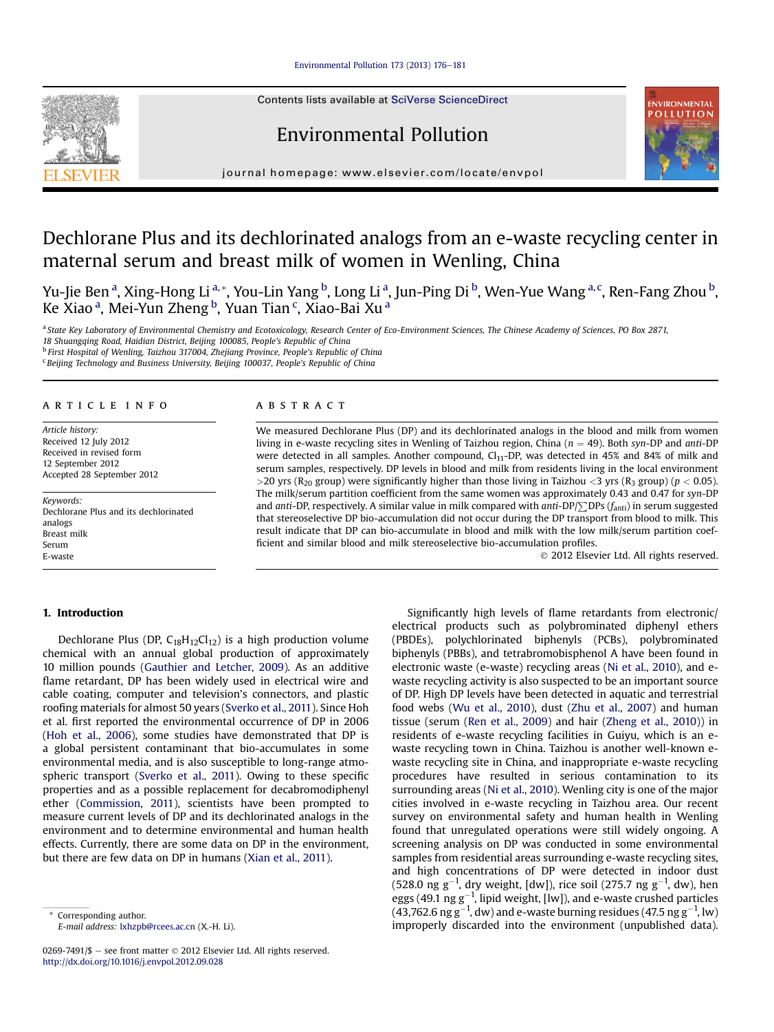# Environmental Pollution 173 (2013)  $176-181$  $176-181$

Contents lists available at SciVerse ScienceDirect

# Environmental Pollution



journal homepage: [www.elsevier.com/locate/envpol](http://www.elsevier.com/locate/envpol)

# Dechlorane Plus and its dechlorinated analogs from an e-waste recycling center in maternal serum and breast milk of women in Wenling, China

Yu-Jie Ben <sup>a</sup>, Xing-Hong Li <sup>a,</sup>\*, You-Lin Yang <sup>b</sup>, Long Li <sup>a</sup>, Jun-Ping Di <sup>b</sup>, Wen-Yue Wang <sup>a,c</sup>, Ren-Fang Zhou <sup>b</sup>, Ke Xiao <sup>a</sup>, Mei-Yun Zheng <sup>b</sup>, Yuan Tian <sup>c</sup>, Xiao-Bai Xu <sup>a</sup>

a State Key Laboratory of Environmental Chemistry and Ecotoxicology, Research Center of Eco-Environment Sciences, The Chinese Academy of Sciences, PO Box 2871, 18 Shuangqing Road, Haidian District, Beijing 100085, People's Republic of China

<sup>b</sup> First Hospital of Wenling, Taizhou 317004, Zhejiang Province, People's Republic of China

 $c$  Beijing Technology and Business University, Beijing 100037, People's Republic of China

# article info

Article history: Received 12 July 2012 Received in revised form 12 September 2012 Accepted 28 September 2012

Keywords: Dechlorane Plus and its dechlorinated analogs Breast milk Serum E-waste

## **ABSTRACT**

We measured Dechlorane Plus (DP) and its dechlorinated analogs in the blood and milk from women living in e-waste recycling sites in Wenling of Taizhou region, China ( $n = 49$ ). Both syn-DP and anti-DP were detected in all samples. Another compound,  $Cl<sub>11</sub>-DP$ , was detected in 45% and 84% of milk and serum samples, respectively. DP levels in blood and milk from residents living in the local environment >20 yrs (R<sub>20</sub> group) were significantly higher than those living in Taizhou <3 yrs (R<sub>3</sub> group) ( $p < 0.05$ ). The milk/serum partition coefficient from the same women was approximately 0.43 and 0.47 for syn-DP and anti-DP, respectively. A similar value in milk compared with anti-DP/ $\Sigma$ DPs ( $f_{\text{anti}}$ ) in serum suggested that stereoselective DP bio-accumulation did not occur during the DP transport from blood to milk. This result indicate that DP can bio-accumulate in blood and milk with the low milk/serum partition coefficient and similar blood and milk stereoselective bio-accumulation profiles.

2012 Elsevier Ltd. All rights reserved.

# 1. Introduction

Dechlorane Plus (DP,  $C_{18}H_{12}Cl_{12}$ ) is a high production volume chemical with an annual global production of approximately 10 million pounds [\(Gauthier and Letcher, 2009\)](#page-5-0). As an additive flame retardant, DP has been widely used in electrical wire and cable coating, computer and television's connectors, and plastic roofing materials for almost 50 years ([Sverko et al., 2011\)](#page-5-0). Since Hoh et al. first reported the environmental occurrence of DP in 2006 ([Hoh et al., 2006\)](#page-5-0), some studies have demonstrated that DP is a global persistent contaminant that bio-accumulates in some environmental media, and is also susceptible to long-range atmospheric transport [\(Sverko et al., 2011](#page-5-0)). Owing to these specific properties and as a possible replacement for decabromodiphenyl ether ([Commission, 2011\)](#page-5-0), scientists have been prompted to measure current levels of DP and its dechlorinated analogs in the environment and to determine environmental and human health effects. Currently, there are some data on DP in the environment, but there are few data on DP in humans ([Xian et al., 2011](#page-5-0)).

0269-7491/\$ - see front matter  $\odot$  2012 Elsevier Ltd. All rights reserved. <http://dx.doi.org/10.1016/j.envpol.2012.09.028>

Significantly high levels of flame retardants from electronic/ electrical products such as polybrominated diphenyl ethers (PBDEs), polychlorinated biphenyls (PCBs), polybrominated biphenyls (PBBs), and tetrabromobisphenol A have been found in electronic waste (e-waste) recycling areas [\(Ni et al., 2010](#page-5-0)), and ewaste recycling activity is also suspected to be an important source of DP. High DP levels have been detected in aquatic and terrestrial food webs [\(Wu et al., 2010](#page-5-0)), dust ([Zhu et al., 2007\)](#page-5-0) and human tissue (serum [\(Ren et al., 2009\)](#page-5-0) and hair ([Zheng et al., 2010](#page-5-0))) in residents of e-waste recycling facilities in Guiyu, which is an ewaste recycling town in China. Taizhou is another well-known ewaste recycling site in China, and inappropriate e-waste recycling procedures have resulted in serious contamination to its surrounding areas [\(Ni et al., 2010\)](#page-5-0). Wenling city is one of the major cities involved in e-waste recycling in Taizhou area. Our recent survey on environmental safety and human health in Wenling found that unregulated operations were still widely ongoing. A screening analysis on DP was conducted in some environmental samples from residential areas surrounding e-waste recycling sites, and high concentrations of DP were detected in indoor dust (528.0 ng g<sup>-1</sup>, dry weight, [dw]), rice soil (275.7 ng g<sup>-1</sup>, dw), hen eggs (49.1  $\mathrm{ng\,g^{-1}}$ , lipid weight, [lw]), and e-waste crushed particles (43,762.6  $\mathrm{ng\,g^{-1}}$ , dw) and e-waste burning residues (47.5  $\mathrm{ng\,g^{-1}}$ , lw) improperly discarded into the environment (unpublished data).

Corresponding author. E-mail address: [lxhzpb@rcees.ac.cn](mailto:lxhzpb@rcees.ac.cn) (X.-H. Li).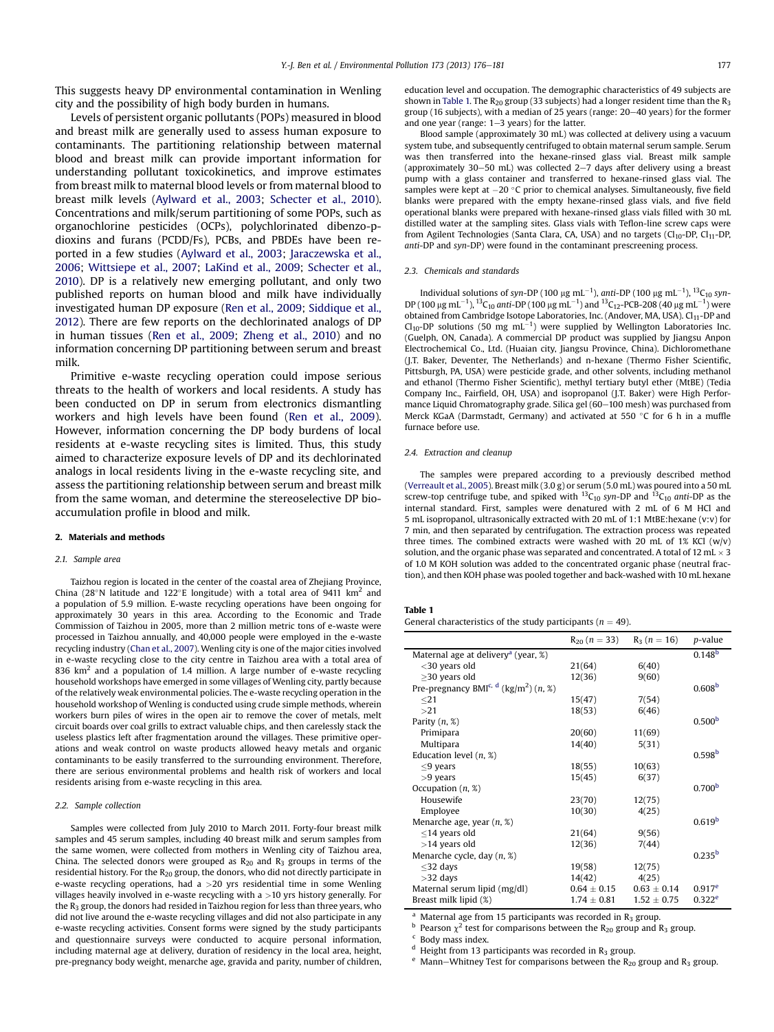This suggests heavy DP environmental contamination in Wenling city and the possibility of high body burden in humans.

Levels of persistent organic pollutants (POPs) measured in blood and breast milk are generally used to assess human exposure to contaminants. The partitioning relationship between maternal blood and breast milk can provide important information for understanding pollutant toxicokinetics, and improve estimates from breast milk to maternal blood levels or from maternal blood to breast milk levels ([Aylward et al., 2003;](#page-5-0) [Schecter et al., 2010\)](#page-5-0). Concentrations and milk/serum partitioning of some POPs, such as organochlorine pesticides (OCPs), polychlorinated dibenzo-pdioxins and furans (PCDD/Fs), PCBs, and PBDEs have been reported in a few studies [\(Aylward et al., 2003](#page-5-0); [Jaraczewska et al.,](#page-5-0) [2006;](#page-5-0) [Wittsiepe et al., 2007;](#page-5-0) [LaKind et al., 2009;](#page-5-0) [Schecter et al.,](#page-5-0) [2010\)](#page-5-0). DP is a relatively new emerging pollutant, and only two published reports on human blood and milk have individually investigated human DP exposure [\(Ren et al., 2009](#page-5-0); [Siddique et al.,](#page-5-0) [2012\)](#page-5-0). There are few reports on the dechlorinated analogs of DP in human tissues [\(Ren et al., 2009;](#page-5-0) [Zheng et al., 2010\)](#page-5-0) and no information concerning DP partitioning between serum and breast milk.

Primitive e-waste recycling operation could impose serious threats to the health of workers and local residents. A study has been conducted on DP in serum from electronics dismantling workers and high levels have been found [\(Ren et al., 2009\)](#page-5-0). However, information concerning the DP body burdens of local residents at e-waste recycling sites is limited. Thus, this study aimed to characterize exposure levels of DP and its dechlorinated analogs in local residents living in the e-waste recycling site, and assess the partitioning relationship between serum and breast milk from the same woman, and determine the stereoselective DP bioaccumulation profile in blood and milk.

#### 2. Materials and methods

#### 2.1. Sample area

Taizhou region is located in the center of the coastal area of Zhejiang Province, China (28°N latitude and 122°E longitude) with a total area of 9411  $km^2$  and a population of 5.9 million. E-waste recycling operations have been ongoing for approximately 30 years in this area. According to the Economic and Trade Commission of Taizhou in 2005, more than 2 million metric tons of e-waste were processed in Taizhou annually, and 40,000 people were employed in the e-waste recycling industry [\(Chan et al., 2007](#page-5-0)). Wenling city is one of the major cities involved in e-waste recycling close to the city centre in Taizhou area with a total area of 836 km<sup>2</sup> and a population of 1.4 million. A large number of e-waste recycling household workshops have emerged in some villages of Wenling city, partly because of the relatively weak environmental policies. The e-waste recycling operation in the household workshop of Wenling is conducted using crude simple methods, wherein workers burn piles of wires in the open air to remove the cover of metals, melt circuit boards over coal grills to extract valuable chips, and then carelessly stack the useless plastics left after fragmentation around the villages. These primitive operations and weak control on waste products allowed heavy metals and organic contaminants to be easily transferred to the surrounding environment. Therefore, there are serious environmental problems and health risk of workers and local residents arising from e-waste recycling in this area.

### 2.2. Sample collection

Samples were collected from July 2010 to March 2011. Forty-four breast milk samples and 45 serum samples, including 40 breast milk and serum samples from the same women, were collected from mothers in Wenling city of Taizhou area, China. The selected donors were grouped as  $R_{20}$  and  $R_3$  groups in terms of the residential history. For the R<sub>20</sub> group, the donors, who did not directly participate in e-waste recycling operations, had a >20 yrs residential time in some Wenling villages heavily involved in e-waste recycling with a >10 yrs history generally. For the  $R_3$  group, the donors had resided in Taizhou region for less than three years, who did not live around the e-waste recycling villages and did not also participate in any e-waste recycling activities. Consent forms were signed by the study participants and questionnaire surveys were conducted to acquire personal information, including maternal age at delivery, duration of residency in the local area, height, pre-pregnancy body weight, menarche age, gravida and parity, number of children, education level and occupation. The demographic characteristics of 49 subjects are shown in Table 1. The  $R_{20}$  group (33 subjects) had a longer resident time than the  $R_3$ group (16 subjects), with a median of 25 years (range: 20-40 years) for the former and one year (range:  $1-3$  years) for the latter.

Blood sample (approximately 30 mL) was collected at delivery using a vacuum system tube, and subsequently centrifuged to obtain maternal serum sample. Serum was then transferred into the hexane-rinsed glass vial. Breast milk sample (approximately 30-50 mL) was collected  $2-7$  days after delivery using a breast pump with a glass container and transferred to hexane-rinsed glass vial. The samples were kept at  $-20$  °C prior to chemical analyses. Simultaneously, five field blanks were prepared with the empty hexane-rinsed glass vials, and five field operational blanks were prepared with hexane-rinsed glass vials filled with 30 mL distilled water at the sampling sites. Glass vials with Teflon-line screw caps were from Agilent Technologies (Santa Clara, CA, USA) and no targets (Cl10-DP, Cl11-DP, anti-DP and syn-DP) were found in the contaminant prescreening process.

#### 2.3. Chemicals and standards

Individual solutions of syn-DP (100  $\mu$ g mL<sup>-1</sup>), anti-DP (100  $\mu$ g mL<sup>-1</sup>), <sup>13</sup>C<sub>10</sub> syn-DP (100  $\mu$ g mL<sup>-1</sup>), <sup>13</sup>C<sub>10</sub> anti-DP (100  $\mu$ g mL<sup>-1</sup>) and <sup>13</sup>C<sub>12</sub>-PCB-208 (40  $\mu$ g mL<sup>-1</sup>) were obtained from Cambridge Isotope Laboratories, Inc. (Andover, MA, USA). Cl<sub>11</sub>-DP and  $Cl_{10}$ -DP solutions (50 mg mL<sup>-1</sup>) were supplied by Wellington Laboratories Inc. (Guelph, ON, Canada). A commercial DP product was supplied by Jiangsu Anpon Electrochemical Co., Ltd. (Huaian city, Jiangsu Province, China). Dichloromethane (J.T. Baker, Deventer, The Netherlands) and n-hexane (Thermo Fisher Scientific, Pittsburgh, PA, USA) were pesticide grade, and other solvents, including methanol and ethanol (Thermo Fisher Scientific), methyl tertiary butyl ether (MtBE) (Tedia Company Inc., Fairfield, OH, USA) and isopropanol (J.T. Baker) were High Performance Liquid Chromatography grade. Silica gel (60-100 mesh) was purchased from Merck KGaA (Darmstadt, Germany) and activated at 550  $\degree$ C for 6 h in a muffle furnace before use.

#### 2.4 Extraction and cleanup

The samples were prepared according to a previously described method ([Verreault et al., 2005\)](#page-5-0). Breast milk (3.0 g) or serum (5.0 mL) was poured into a 50 mL screw-top centrifuge tube, and spiked with  $^{13}C_{10}$  syn-DP and  $^{13}C_{10}$  anti-DP as the internal standard. First, samples were denatured with 2 mL of 6 M HCl and 5 mL isopropanol, ultrasonically extracted with 20 mL of 1:1 MtBE:hexane (v:v) for 7 min, and then separated by centrifugation. The extraction process was repeated three times. The combined extracts were washed with 20 mL of 1% KCl  $(w/v)$ solution, and the organic phase was separated and concentrated. A total of 12 mL  $\times$  3 of 1.0 M KOH solution was added to the concentrated organic phase (neutral fraction), and then KOH phase was pooled together and back-washed with 10 mL hexane

|--|--|--|--|--|

General characteristics of the study participants ( $n = 49$ ).

|                                                               | $R_{20}$ (n = 33) | $R_3(n = 16)$   | p-value            |
|---------------------------------------------------------------|-------------------|-----------------|--------------------|
| Maternal age at delivery <sup>a</sup> (year, %)               |                   |                 | 0.148 <sup>b</sup> |
| $<$ 30 years old                                              | 21(64)            | 6(40)           |                    |
| $\geq$ 30 years old                                           | 12(36)            | 9(60)           |                    |
| Pre-pregnancy BMI <sup>c, d</sup> (kg/m <sup>2</sup> ) (n, %) |                   |                 | 0.608 <sup>b</sup> |
| $21$                                                          | 15(47)            | 7(54)           |                    |
| >21                                                           | 18(53)            | 6(46)           |                    |
| Parity $(n, %)$                                               |                   |                 | 0.500 <sup>b</sup> |
| Primipara                                                     | 20(60)            | 11(69)          |                    |
| Multipara                                                     | 14(40)            | 5(31)           |                    |
| Education level $(n, %)$                                      |                   |                 | 0.598 <sup>b</sup> |
| $\leq$ 9 years                                                | 18(55)            | 10(63)          |                    |
| $>9$ years                                                    | 15(45)            | 6(37)           |                    |
| Occupation $(n, %)$                                           |                   |                 | 0.700 <sup>b</sup> |
| Housewife                                                     | 23(70)            | 12(75)          |                    |
| Employee                                                      | 10(30)            | 4(25)           |                    |
| Menarche age, year $(n, \mathcal{X})$                         |                   |                 | 0.619 <sup>b</sup> |
| $\leq$ 14 years old                                           | 21(64)            | 9(56)           |                    |
| $>14$ years old                                               | 12(36)            | 7(44)           |                    |
| Menarche cycle, day $(n, %)$                                  |                   |                 | 0.235 <sup>b</sup> |
| $\leq$ 32 days                                                | 19(58)            | 12(75)          |                    |
| $>32$ days                                                    | 14(42)            | 4(25)           |                    |
| Maternal serum lipid (mg/dl)                                  | $0.64\pm0.15$     | $0.63 \pm 0.14$ | $0.917^e$          |
| Breast milk lipid (%)                                         | $1.74 \pm 0.81$   | $1.52 \pm 0.75$ | $0.322^e$          |

<sup>a</sup> Maternal age from 15 participants was recorded in R<sub>3</sub> group.<br><sup>b</sup> Pearson  $\chi^2$  test for comparisons between the R<sub>20</sub> group and R<sub>3</sub> group.<br><sup>c</sup> Body mass index.<br><sup>d</sup> Height from 13 participants was recorded in R<sub>3</sub> g

 $e$  Mann-Whitney Test for comparisons between the R<sub>20</sub> group and R<sub>3</sub> group.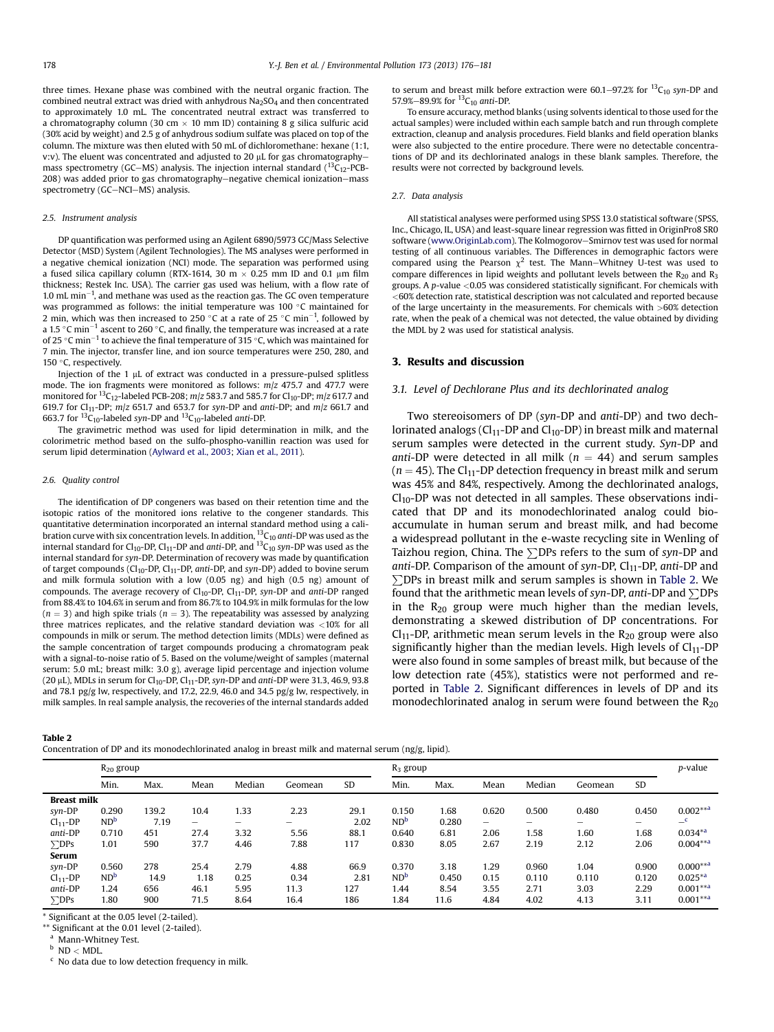<span id="page-2-0"></span>three times. Hexane phase was combined with the neutral organic fraction. The combined neutral extract was dried with anhydrous Na<sub>2</sub>SO<sub>4</sub> and then concentrated to approximately 1.0 mL. The concentrated neutral extract was transferred to a chromatography column (30 cm  $\times$  10 mm ID) containing 8 g silica sulfuric acid (30% acid by weight) and 2.5 g of anhydrous sodium sulfate was placed on top of the column. The mixture was then eluted with 50 mL of dichloromethane: hexane (1:1, v:v). The eluent was concentrated and adjusted to 20  $\mu$ L for gas chromatographymass spectrometry (GC-MS) analysis. The injection internal standard  $(^{13}C_{12}$ -PCB-208) was added prior to gas chromatography-negative chemical ionization-mass spectrometry  $(GC-NCI-MS)$  analysis.

#### 2.5. Instrument analysis

DP quantification was performed using an Agilent 6890/5973 GC/Mass Selective Detector (MSD) System (Agilent Technologies). The MS analyses were performed in a negative chemical ionization (NCI) mode. The separation was performed using a fused silica capillary column (RTX-1614, 30 m  $\times$  0.25 mm ID and 0.1 µm film thickness; Restek Inc. USA). The carrier gas used was helium, with a flow rate of 1.0 mL min $^{-1}$ , and methane was used as the reaction gas. The GC oven temperature was programmed as follows: the initial temperature was 100  $^{\circ}$ C maintained for 2 min, which was then increased to 250 °C at a rate of 25 °C min<sup>-1</sup>, followed by a 1.5 °C min $^{-1}$  ascent to 260 °C, and finally, the temperature was increased at a rate of 25 °C min $^{-1}$  to achieve the final temperature of 315 °C, which was maintained for 7 min. The injector, transfer line, and ion source temperatures were 250, 280, and 150 $\degree$ C, respectively.

Injection of the  $1 \mu$ L of extract was conducted in a pressure-pulsed splitless mode. The ion fragments were monitored as follows:  $m/z$  475.7 and 477.7 were monitored for  ${}^{13}C_{12}$ -labeled PCB-208; m/z 583.7 and 585.7 for Cl<sub>10</sub>-DP; m/z 617.7 and 619.7 for Cl<sub>11</sub>-DP;  $m/z$  651.7 and 653.7 for syn-DP and anti-DP; and  $m/z$  661.7 and 663.7 for  ${}^{13}C_{10}$ -labeled syn-DP and  ${}^{13}C_{10}$ -labeled anti-DP.

The gravimetric method was used for lipid determination in milk, and the colorimetric method based on the sulfo-phospho-vanillin reaction was used for serum lipid determination [\(Aylward et al., 2003;](#page-5-0) [Xian et al., 2011](#page-5-0)).

#### 2.6. Quality control

The identification of DP congeners was based on their retention time and the isotopic ratios of the monitored ions relative to the congener standards. This quantitative determination incorporated an internal standard method using a calibration curve with six concentration levels. In addition,  ${}^{13}C_{10}$  anti-DP was used as the internal standard for Cl<sub>10</sub>-DP, Cl<sub>11</sub>-DP and anti-DP, and  $^{13}C_{10}$  syn-DP was used as the internal standard for syn-DP. Determination of recovery was made by quantification of target compounds (Cl<sub>10</sub>-DP, Cl<sub>11</sub>-DP, anti-DP, and syn-DP) added to bovine serum and milk formula solution with a low (0.05 ng) and high (0.5 ng) amount of compounds. The average recovery of  $Cl_{10}$ -DP,  $Cl_{11}$ -DP, syn-DP and anti-DP ranged from 88.4% to 104.6% in serum and from 86.7% to 104.9% in milk formulas for the low  $(n = 3)$  and high spike trials  $(n = 3)$ . The repeatability was assessed by analyzing three matrices replicates, and the relative standard deviation was <10% for all compounds in milk or serum. The method detection limits (MDLs) were defined as the sample concentration of target compounds producing a chromatogram peak with a signal-to-noise ratio of 5. Based on the volume/weight of samples (maternal serum: 5.0 mL; breast milk: 3.0 g), average lipid percentage and injection volume (20  $\mu$ L), MDLs in serum for Cl<sub>10</sub>-DP, Cl<sub>11</sub>-DP, syn-DP and anti-DP were 31.3, 46.9, 93.8 and 78.1 pg/g lw, respectively, and 17.2, 22.9, 46.0 and 34.5 pg/g lw, respectively, in milk samples. In real sample analysis, the recoveries of the internal standards added

to serum and breast milk before extraction were 60.1–97.2% for  $^{13}C_{10}$  syn-DP and 57.9%-89.9% for  ${}^{13}C_{10}$  anti-DP.

To ensure accuracy, method blanks (using solvents identical to those used for the actual samples) were included within each sample batch and run through complete extraction, cleanup and analysis procedures. Field blanks and field operation blanks were also subjected to the entire procedure. There were no detectable concentrations of DP and its dechlorinated analogs in these blank samples. Therefore, the results were not corrected by background levels.

#### 2.7. Data analysis

All statistical analyses were performed using SPSS 13.0 statistical software (SPSS, Inc., Chicago, IL, USA) and least-square linear regression was fitted in OriginPro8 SR0 software ([www.OriginLab.com\)](http://www.OriginLab.com). The Kolmogorov-Smirnov test was used for normal testing of all continuous variables. The Differences in demographic factors were compared using the Pearson  $\chi^2$  test. The Mann-Whitney U-test was used to compare differences in lipid weights and pollutant levels between the  $R_{20}$  and  $R_3$ groups. A  $p$ -value <0.05 was considered statistically significant. For chemicals with  $<$  60% detection rate, statistical description was not calculated and reported because of the large uncertainty in the measurements. For chemicals with >60% detection rate, when the peak of a chemical was not detected, the value obtained by dividing the MDL by 2 was used for statistical analysis.

#### 3. Results and discussion

### 3.1. Level of Dechlorane Plus and its dechlorinated analog

Two stereoisomers of DP (syn-DP and anti-DP) and two dechlorinated analogs ( $Cl<sub>11</sub>$ -DP and  $Cl<sub>10</sub>$ -DP) in breast milk and maternal serum samples were detected in the current study. Syn-DP and anti-DP were detected in all milk ( $n = 44$ ) and serum samples  $(n = 45)$ . The Cl<sub>11</sub>-DP detection frequency in breast milk and serum was 45% and 84%, respectively. Among the dechlorinated analogs,  $Cl_{10}$ -DP was not detected in all samples. These observations indicated that DP and its monodechlorinated analog could bioaccumulate in human serum and breast milk, and had become a widespread pollutant in the e-waste recycling site in Wenling of Taizhou region, China. The  $\Sigma$ DPs refers to the sum of syn-DP and anti-DP. Comparison of the amount of syn-DP,  $Cl_{11}$ -DP, anti-DP and  $\Sigma$ DPs in breast milk and serum samples is shown in Table 2. We found that the arithmetic mean levels of syn-DP, anti-DP and  $\Sigma$ DPs in the  $R_{20}$  group were much higher than the median levels, demonstrating a skewed distribution of DP concentrations. For  $Cl_{11}$ -DP, arithmetic mean serum levels in the  $R_{20}$  group were also significantly higher than the median levels. High levels of  $Cl_{11}$ -DP were also found in some samples of breast milk, but because of the low detection rate (45%), statistics were not performed and reported in Table 2. Significant differences in levels of DP and its monodechlorinated analog in serum were found between the  $R_{20}$ 

|--|--|

Concentration of DP and its monodechlorinated analog in breast milk and maternal serum (ng/g, lipid).

|                    | $R_{20}$ group |       |                          |                          |         | $R_3$ group |                 |       |       |                          | p-value |           |              |
|--------------------|----------------|-------|--------------------------|--------------------------|---------|-------------|-----------------|-------|-------|--------------------------|---------|-----------|--------------|
|                    | Min.           | Max.  | Mean                     | Median                   | Geomean | <b>SD</b>   | Min.            | Max.  | Mean  | Median                   | Geomean | <b>SD</b> |              |
| <b>Breast milk</b> |                |       |                          |                          |         |             |                 |       |       |                          |         |           |              |
| syn-DP             | 0.290          | 139.2 | 10.4                     | 1.33                     | 2.23    | 29.1        | 0.150           | 1.68  | 0.620 | 0.500                    | 0.480   | 0.450     | $0.002***$   |
| $Cl11-DP$          | $ND^b$         | 7.19  | $\overline{\phantom{0}}$ | $\overline{\phantom{0}}$ | -       | 2.02        | ND <sup>b</sup> | 0.280 | $-$   | $\overline{\phantom{0}}$ | -       | -         | $\mathbf{C}$ |
| anti-DP            | 0.710          | 451   | 27.4                     | 3.32                     | 5.56    | 88.1        | 0.640           | 6.81  | 2.06  | 1.58                     | 1.60    | 1.68      | $0.034^{*a}$ |
| $\Sigma$ DPs       | 1.01           | 590   | 37.7                     | 4.46                     | 7.88    | 117         | 0.830           | 8.05  | 2.67  | 2.19                     | 2.12    | 2.06      | $0.004***$   |
| Serum              |                |       |                          |                          |         |             |                 |       |       |                          |         |           |              |
| syn-DP             | 0.560          | 278   | 25.4                     | 2.79                     | 4.88    | 66.9        | 0.370           | 3.18  | 1.29  | 0.960                    | 1.04    | 0.900     | $0.000***$   |
| $Cl11-DP$          | $ND^b$         | 14.9  | 1.18                     | 0.25                     | 0.34    | 2.81        | ND <sup>b</sup> | 0.450 | 0.15  | 0.110                    | 0.110   | 0.120     | $0.025**$    |
| anti-DP            | 1.24           | 656   | 46.1                     | 5.95                     | 11.3    | 127         | 1.44            | 8.54  | 3.55  | 2.71                     | 3.03    | 2.29      | $0.001***$   |
| $\Sigma$ DPs       | 1.80           | 900   | 71.5                     | 8.64                     | 16.4    | 186         | 1.84            | 11.6  | 4.84  | 4.02                     | 4.13    | 3.11      | $0.001***$   |

\* Significant at the 0.05 level (2-tailed).

\*\* Significant at the 0.01 level (2-tailed).

<sup>a</sup> Mann-Whitney Test.

 $^{\rm b}$  ND  $<$  MDL.

 $\rm ^c$  No data due to low detection frequency in milk.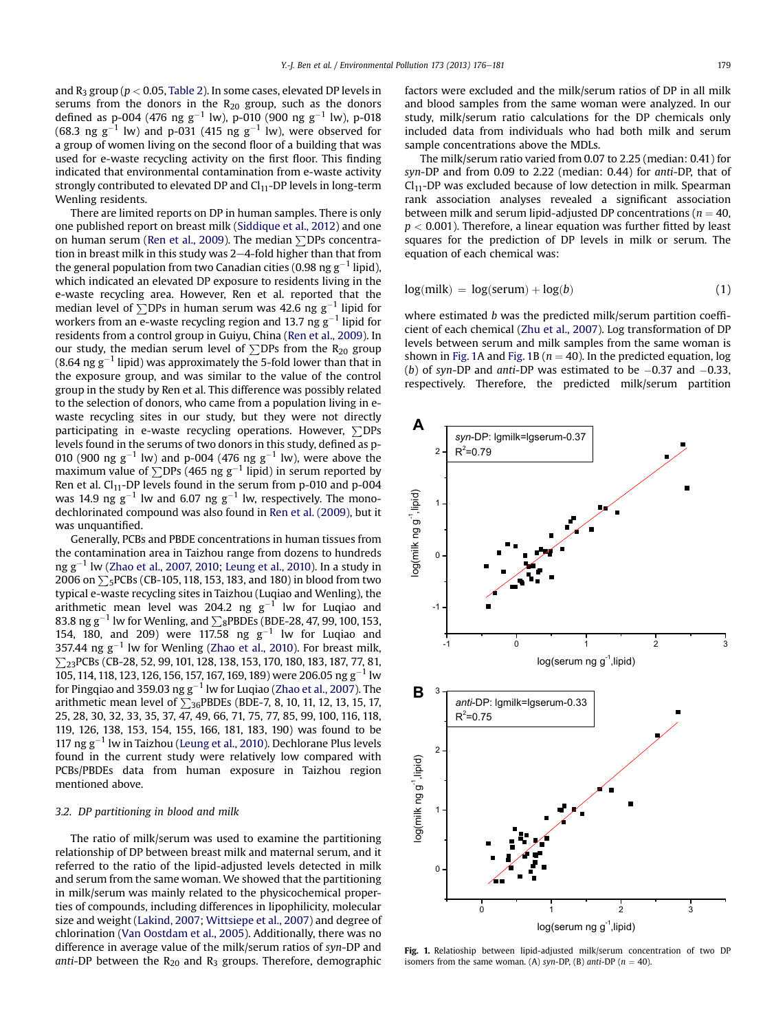and  $R_3$  group ( $p < 0.05$ , [Table 2](#page-2-0)). In some cases, elevated DP levels in serums from the donors in the  $R_{20}$  group, such as the donors defined as p-004 (476 ng g $^{-1}$  lw), p-010 (900 ng g $^{-1}$  lw), p-018 (68.3 ng g $^{-1}$  lw) and p-031 (415 ng g $^{-1}$  lw), were observed for a group of women living on the second floor of a building that was used for e-waste recycling activity on the first floor. This finding indicated that environmental contamination from e-waste activity strongly contributed to elevated DP and  $Cl<sub>11</sub>$ -DP levels in long-term Wenling residents.

There are limited reports on DP in human samples. There is only one published report on breast milk ([Siddique et al., 2012](#page-5-0)) and one on human serum [\(Ren et al., 2009\)](#page-5-0). The median  $\Sigma$ DPs concentration in breast milk in this study was  $2-4$ -fold higher than that from the general population from two Canadian cities (0.98 ng g $^{\rm -1}$  lipid), which indicated an elevated DP exposure to residents living in the e-waste recycling area. However, Ren et al. reported that the median level of  $\sum$ DPs in human serum was 42.6 ng g $^{-1}$  lipid for workers from an e-waste recycling region and 13.7 ng g $^{\rm -1}$  lipid for residents from a control group in Guiyu, China ([Ren et al., 2009](#page-5-0)). In our study, the median serum level of  $\Sigma$ DPs from the R<sub>20</sub> group (8.64 ng g $^{-1}$  lipid) was approximately the 5-fold lower than that in the exposure group, and was similar to the value of the control group in the study by Ren et al. This difference was possibly related to the selection of donors, who came from a population living in ewaste recycling sites in our study, but they were not directly participating in e-waste recycling operations. However,  $\Sigma$ DPs levels found in the serums of two donors in this study, defined as p-010 (900 ng g<sup>-1</sup> lw) and p-004 (476 ng g<sup>-1</sup> lw), were above the maximum value of  $\sum$ DPs (465 ng g $^{-1}$  lipid) in serum reported by Ren et al.  $Cl<sub>11</sub>$ -DP levels found in the serum from p-010 and p-004 was 14.9 ng  $\rm g^{-1}$  lw and 6.07 ng  $\rm g^{-1}$  lw, respectively. The monodechlorinated compound was also found in [Ren et al. \(2009\)](#page-5-0), but it was unquantified.

Generally, PCBs and PBDE concentrations in human tissues from the contamination area in Taizhou range from dozens to hundreds ng g $^{-1}$  lw [\(Zhao et al., 2007, 2010](#page-5-0); [Leung et al., 2010](#page-5-0)). In a study in 2006 on  $\Sigma$ <sub>5</sub>PCBs (CB-105, 118, 153, 183, and 180) in blood from two typical e-waste recycling sites in Taizhou (Luqiao and Wenling), the arithmetic mean level was 204.2 ng  $g^{-1}$  lw for Luqiao and 83.8 ng g $^{-1}$  lw for Wenling, and  $\sum_{8}$ PBDEs (BDE-28, 47, 99, 100, 153, 154, 180, and 209) were 117.58 ng  $g^{-1}$  lw for Luqiao and 357.44 ng  $g^{-1}$  lw for Wenling [\(Zhao et al., 2010\)](#page-5-0). For breast milk,  $\sum_{23}$ PCBs (CB-28, 52, 99, 101, 128, 138, 153, 170, 180, 183, 187, 77, 81,  $105$ , 114, 118, 123, 126, 156, 157, 167, 169, 189) were 206.05 ng g<sup>-1</sup> lw for Pingqiao and 359.03 ng g $^{-1}$  lw for Luqiao [\(Zhao et al., 2007\)](#page-5-0). The arithmetic mean level of  $\sum_{36}$ PBDEs (BDE-7, 8, 10, 11, 12, 13, 15, 17, 25, 28, 30, 32, 33, 35, 37, 47, 49, 66, 71, 75, 77, 85, 99, 100, 116, 118, 119, 126, 138, 153, 154, 155, 166, 181, 183, 190) was found to be 117 ng  $g^{-1}$  lw in Taizhou [\(Leung et al., 2010\)](#page-5-0). Dechlorane Plus levels found in the current study were relatively low compared with PCBs/PBDEs data from human exposure in Taizhou region mentioned above.

# 3.2. DP partitioning in blood and milk

The ratio of milk/serum was used to examine the partitioning relationship of DP between breast milk and maternal serum, and it referred to the ratio of the lipid-adjusted levels detected in milk and serum from the same woman. We showed that the partitioning in milk/serum was mainly related to the physicochemical properties of compounds, including differences in lipophilicity, molecular size and weight ([Lakind, 2007;](#page-5-0) [Wittsiepe et al., 2007\)](#page-5-0) and degree of chlorination ([Van Oostdam et al., 2005](#page-5-0)). Additionally, there was no difference in average value of the milk/serum ratios of syn-DP and anti-DP between the  $R_{20}$  and  $R_3$  groups. Therefore, demographic factors were excluded and the milk/serum ratios of DP in all milk and blood samples from the same woman were analyzed. In our study, milk/serum ratio calculations for the DP chemicals only included data from individuals who had both milk and serum sample concentrations above the MDLs.

The milk/serum ratio varied from 0.07 to 2.25 (median: 0.41) for syn-DP and from 0.09 to 2.22 (median: 0.44) for anti-DP, that of  $Cl<sub>11</sub>$ -DP was excluded because of low detection in milk. Spearman rank association analyses revealed a significant association between milk and serum lipid-adjusted DP concentrations ( $n = 40$ ,  $p < 0.001$ ). Therefore, a linear equation was further fitted by least squares for the prediction of DP levels in milk or serum. The equation of each chemical was:

$$
log(milk) = log(serum) + log(b)
$$
 (1)

where estimated *b* was the predicted milk/serum partition coefficient of each chemical [\(Zhu et al., 2007](#page-5-0)). Log transformation of DP levels between serum and milk samples from the same woman is shown in Fig. 1A and Fig. 1B ( $n = 40$ ). In the predicted equation, log (*b*) of syn-DP and anti-DP was estimated to be  $-0.37$  and  $-0.33$ , respectively. Therefore, the predicted milk/serum partition



Fig. 1. Relatioship between lipid-adjusted milk/serum concentration of two DP isomers from the same woman. (A) syn-DP, (B) anti-DP ( $n = 40$ ).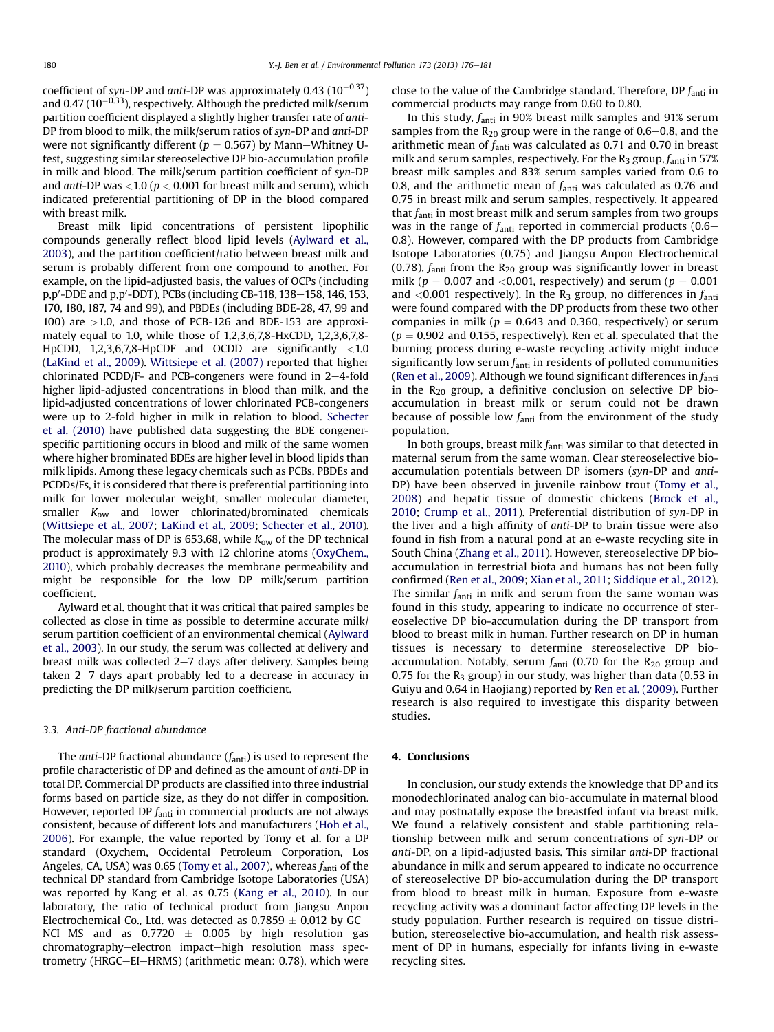coefficient of syn-DP and anti-DP was approximately 0.43  $(10^{-0.37})$ and 0.47 (10 $^{-0.33}$ ), respectively. Although the predicted milk/serum partition coefficient displayed a slightly higher transfer rate of anti-DP from blood to milk, the milk/serum ratios of syn-DP and anti-DP were not significantly different ( $p = 0.567$ ) by Mann-Whitney Utest, suggesting similar stereoselective DP bio-accumulation profile in milk and blood. The milk/serum partition coefficient of syn-DP and anti-DP was  $<$  1.0 ( $p$   $<$  0.001 for breast milk and serum), which indicated preferential partitioning of DP in the blood compared with breast milk.

Breast milk lipid concentrations of persistent lipophilic compounds generally reflect blood lipid levels ([Aylward et al.,](#page-5-0) [2003](#page-5-0)), and the partition coefficient/ratio between breast milk and serum is probably different from one compound to another. For example, on the lipid-adjusted basis, the values of OCPs (including p,p'-DDE and p,p'-DDT), PCBs (including CB-118, 138–158, 146, 153, 170, 180, 187, 74 and 99), and PBDEs (including BDE-28, 47, 99 and 100) are  $>1.0$ , and those of PCB-126 and BDE-153 are approximately equal to 1.0, while those of 1,2,3,6,7,8-HxCDD, 1,2,3,6,7,8- HpCDD, 1,2,3,6,7,8-HpCDF and OCDD are significantly <1.0 ([LaKind et al., 2009\)](#page-5-0). [Wittsiepe et al. \(2007\)](#page-5-0) reported that higher chlorinated PCDD/F- and PCB-congeners were found in  $2-4$ -fold higher lipid-adjusted concentrations in blood than milk, and the lipid-adjusted concentrations of lower chlorinated PCB-congeners were up to 2-fold higher in milk in relation to blood. [Schecter](#page-5-0) [et al. \(2010\)](#page-5-0) have published data suggesting the BDE congenerspecific partitioning occurs in blood and milk of the same women where higher brominated BDEs are higher level in blood lipids than milk lipids. Among these legacy chemicals such as PCBs, PBDEs and PCDDs/Fs, it is considered that there is preferential partitioning into milk for lower molecular weight, smaller molecular diameter, smaller  $K_{ow}$  and lower chlorinated/brominated chemicals ([Wittsiepe et al., 2007](#page-5-0); [LaKind et al., 2009](#page-5-0); [Schecter et al., 2010\)](#page-5-0). The molecular mass of DP is 653.68, while  $K_{ow}$  of the DP technical product is approximately 9.3 with 12 chlorine atoms [\(OxyChem.,](#page-5-0) [2010](#page-5-0)), which probably decreases the membrane permeability and might be responsible for the low DP milk/serum partition coefficient.

Aylward et al. thought that it was critical that paired samples be collected as close in time as possible to determine accurate milk/ serum partition coefficient of an environmental chemical ([Aylward](#page-5-0) [et al., 2003\)](#page-5-0). In our study, the serum was collected at delivery and breast milk was collected  $2-7$  days after delivery. Samples being taken  $2-7$  days apart probably led to a decrease in accuracy in predicting the DP milk/serum partition coefficient.

# 3.3. Anti-DP fractional abundance

The anti-DP fractional abundance  $(f_{\text{anti}})$  is used to represent the profile characteristic of DP and defined as the amount of anti-DP in total DP. Commercial DP products are classified into three industrial forms based on particle size, as they do not differ in composition. However, reported DP  $f_{\text{anti}}$  in commercial products are not always consistent, because of different lots and manufacturers ([Hoh et al.,](#page-5-0) [2006](#page-5-0)). For example, the value reported by Tomy et al. for a DP standard (Oxychem, Occidental Petroleum Corporation, Los Angeles, CA, USA) was 0.65 [\(Tomy et al., 2007\)](#page-5-0), whereas  $f_{\text{anti}}$  of the technical DP standard from Cambridge Isotope Laboratories (USA) was reported by Kang et al. as 0.75 [\(Kang et al., 2010](#page-5-0)). In our laboratory, the ratio of technical product from Jiangsu Anpon Electrochemical Co., Ltd. was detected as  $0.7859 \pm 0.012$  by GC-NCI-MS and as  $0.7720 \pm 0.005$  by high resolution gas chromatography-electron impact-high resolution mass spectrometry (HRGC-EI-HRMS) (arithmetic mean: 0.78), which were

close to the value of the Cambridge standard. Therefore, DP  $f_{\text{anti}}$  in commercial products may range from 0.60 to 0.80.

In this study,  $f_{\text{anti}}$  in 90% breast milk samples and 91% serum samples from the  $R_{20}$  group were in the range of 0.6–0.8, and the arithmetic mean of  $f_{\text{anti}}$  was calculated as 0.71 and 0.70 in breast milk and serum samples, respectively. For the  $R_3$  group,  $f_{\text{anti}}$  in 57% breast milk samples and 83% serum samples varied from 0.6 to 0.8, and the arithmetic mean of  $f_{\text{anti}}$  was calculated as 0.76 and 0.75 in breast milk and serum samples, respectively. It appeared that  $f_{\text{anti}}$  in most breast milk and serum samples from two groups was in the range of  $f_{\text{anti}}$  reported in commercial products (0.6– 0.8). However, compared with the DP products from Cambridge Isotope Laboratories (0.75) and Jiangsu Anpon Electrochemical (0.78),  $f_{\text{anti}}$  from the  $R_{20}$  group was significantly lower in breast milk ( $p = 0.007$  and <0.001, respectively) and serum ( $p = 0.001$ and <0.001 respectively). In the  $R_3$  group, no differences in  $f_{\text{anti}}$ were found compared with the DP products from these two other companies in milk ( $p = 0.643$  and 0.360, respectively) or serum  $(p = 0.902$  and 0.155, respectively). Ren et al. speculated that the burning process during e-waste recycling activity might induce significantly low serum  $f_{\text{anti}}$  in residents of polluted communities ([Ren et al., 2009](#page-5-0)). Although we found significant differences in  $f_{\text{anti}}$ in the  $R_{20}$  group, a definitive conclusion on selective DP bioaccumulation in breast milk or serum could not be drawn because of possible low  $f_{\text{anti}}$  from the environment of the study population.

In both groups, breast milk  $f_{\rm anti}$  was similar to that detected in maternal serum from the same woman. Clear stereoselective bioaccumulation potentials between DP isomers (syn-DP and anti-DP) have been observed in juvenile rainbow trout [\(Tomy et al.,](#page-5-0) [2008](#page-5-0)) and hepatic tissue of domestic chickens [\(Brock et al.,](#page-5-0) [2010](#page-5-0); [Crump et al., 2011](#page-5-0)). Preferential distribution of syn-DP in the liver and a high affinity of anti-DP to brain tissue were also found in fish from a natural pond at an e-waste recycling site in South China [\(Zhang et al., 2011\)](#page-5-0). However, stereoselective DP bioaccumulation in terrestrial biota and humans has not been fully confirmed [\(Ren et al., 2009;](#page-5-0) [Xian et al., 2011](#page-5-0); [Siddique et al., 2012\)](#page-5-0). The similar  $f_{\text{anti}}$  in milk and serum from the same woman was found in this study, appearing to indicate no occurrence of stereoselective DP bio-accumulation during the DP transport from blood to breast milk in human. Further research on DP in human tissues is necessary to determine stereoselective DP bioaccumulation. Notably, serum  $f_{\text{anti}}$  (0.70 for the R<sub>20</sub> group and 0.75 for the  $R_3$  group) in our study, was higher than data (0.53 in Guiyu and 0.64 in Haojiang) reported by [Ren et al. \(2009\)](#page-5-0). Further research is also required to investigate this disparity between studies.

# 4. Conclusions

In conclusion, our study extends the knowledge that DP and its monodechlorinated analog can bio-accumulate in maternal blood and may postnatally expose the breastfed infant via breast milk. We found a relatively consistent and stable partitioning relationship between milk and serum concentrations of syn-DP or anti-DP, on a lipid-adjusted basis. This similar anti-DP fractional abundance in milk and serum appeared to indicate no occurrence of stereoselective DP bio-accumulation during the DP transport from blood to breast milk in human. Exposure from e-waste recycling activity was a dominant factor affecting DP levels in the study population. Further research is required on tissue distribution, stereoselective bio-accumulation, and health risk assessment of DP in humans, especially for infants living in e-waste recycling sites.